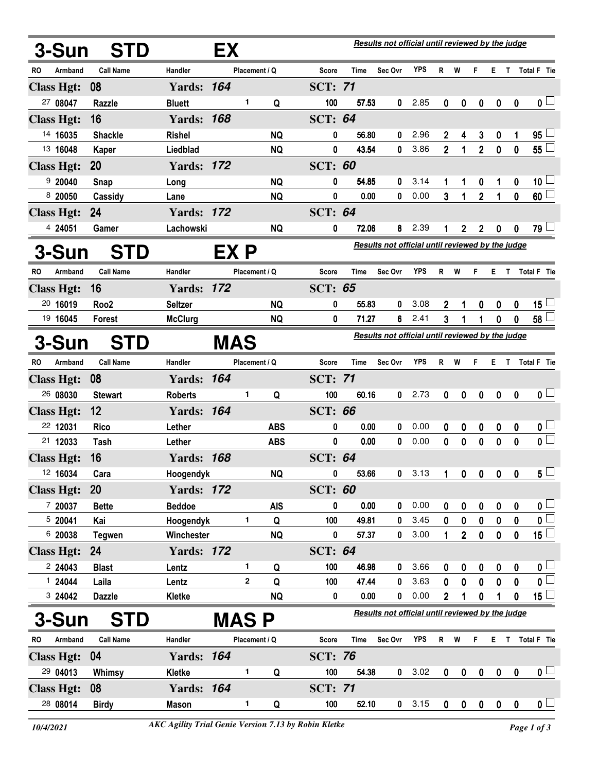| 3-Sun             | <b>STD</b>       | Results not official until reviewed by the judge<br>EX |              |               |            |                |       |                                                         |            |                |              |                |                  |                         |                         |
|-------------------|------------------|--------------------------------------------------------|--------------|---------------|------------|----------------|-------|---------------------------------------------------------|------------|----------------|--------------|----------------|------------------|-------------------------|-------------------------|
| Armband<br>RO     | <b>Call Name</b> | Handler                                                |              | Placement / Q |            | Score          | Time  | Sec Ovr                                                 | YPS        | R              | W            | F              | E.               | $\mathsf{T}$            | Total F Tie             |
| <b>Class Hgt:</b> | 08               | <b>Yards: 164</b>                                      |              |               |            | <b>SCT: 71</b> |       |                                                         |            |                |              |                |                  |                         |                         |
| 27 08047          | Razzle           | <b>Bluett</b>                                          |              | 1             | Q          | 100            | 57.53 | 0                                                       | 2.85       | $\bf{0}$       | 0            | $\mathbf 0$    | $\boldsymbol{0}$ | $\mathbf 0$             | $\mathbf{0}$ $\Box$     |
| <b>Class Hgt:</b> | 16               | <b>Yards: 168</b>                                      |              |               |            | <b>SCT: 64</b> |       |                                                         |            |                |              |                |                  |                         |                         |
| 14 16035          | <b>Shackle</b>   | <b>Rishel</b>                                          |              |               | <b>NQ</b>  | 0              | 56.80 | 0                                                       | 2.96       | 2              | 4            | 3              | 0                | 1                       | $95\perp$               |
| 13 16048          | <b>Kaper</b>     | Liedblad                                               |              |               | <b>NQ</b>  | 0              | 43.54 | 0                                                       | 3.86       | $\overline{2}$ | 1            | $\overline{2}$ | $\mathbf 0$      | 0                       | 55L                     |
| <b>Class Hgt:</b> | <b>20</b>        | <b>Yards: 172</b>                                      |              |               |            | <b>SCT: 60</b> |       |                                                         |            |                |              |                |                  |                         |                         |
| 920040            | Snap             | Long                                                   |              |               | <b>NQ</b>  | 0              | 54.85 | 0                                                       | 3.14       | 1              | 1            | 0              | 1                | 0                       | $10\sqcup$              |
| 8 20050           | Cassidy          | Lane                                                   |              |               | <b>NQ</b>  | 0              | 0.00  | 0                                                       | 0.00       | 3              | 1            | $\overline{2}$ | 1                | 0                       | 60 <sup>5</sup>         |
| <b>Class Hgt:</b> | 24               | <b>Yards: 172</b>                                      |              |               |            | <b>SCT: 64</b> |       |                                                         |            |                |              |                |                  |                         |                         |
| 4 24051           | Gamer            | Lachowski                                              |              |               | <b>NQ</b>  | 0              | 72.06 | 8                                                       | 2.39       |                | 2            | $\mathbf 2$    | 0                | 0                       | 79 ⊔                    |
| 3-Sun             | STD              |                                                        | EX P         |               |            |                |       | <b>Results not official until reviewed by the judge</b> |            |                |              |                |                  |                         |                         |
| Armband<br>RO.    | <b>Call Name</b> | <b>Handler</b>                                         |              | Placement / Q |            | Score          | Time  | Sec Ovr                                                 | YPS        | R              | W            | F              | E.               | $\mathbf{T}$            | Total F Tie             |
| <b>Class Hgt:</b> | 16               | <b>Yards: 172</b>                                      |              |               |            | <b>SCT: 65</b> |       |                                                         |            |                |              |                |                  |                         |                         |
| 20 16019          | Roo <sub>2</sub> | <b>Seltzer</b>                                         |              |               | <b>NQ</b>  | 0              | 55.83 | 0                                                       | 3.08       | 2              | 1            | 0              | 0                | 0                       | 15 $\lfloor$            |
| 19 16045          | Forest           | <b>McClurg</b>                                         |              |               | <b>NQ</b>  | 0              | 71.27 | 6                                                       | 2.41       | 3              | 1            | 1              | 0                | 0                       | 58 <sup>1</sup>         |
| 3-Sun             | <b>STD</b>       |                                                        | <b>MAS</b>   |               |            |                |       | Results not official until reviewed by the judge        |            |                |              |                |                  |                         |                         |
| RO.<br>Armband    | <b>Call Name</b> | Handler                                                |              | Placement / Q |            | <b>Score</b>   | Time  | Sec Ovr                                                 | <b>YPS</b> | R              | W            | F              | Е.               | $\mathsf{T}$            | Total F Tie             |
| <b>Class Hgt:</b> | 08               | <b>Yards: 164</b>                                      |              |               |            | <b>SCT: 71</b> |       |                                                         |            |                |              |                |                  |                         |                         |
| 26 08030          | <b>Stewart</b>   | <b>Roberts</b>                                         |              | 1             | Q          | 100            | 60.16 | 0                                                       | 2.73       | 0              | 0            | $\mathbf 0$    | 0                | $\boldsymbol{0}$        | 0 <sub>1</sub>          |
| <b>Class Hgt:</b> | 12               | <b>Yards: 164</b>                                      |              |               |            | <b>SCT: 66</b> |       |                                                         |            |                |              |                |                  |                         |                         |
| 22 12031          | <b>Rico</b>      | Lether                                                 |              |               | <b>ABS</b> | 0              | 0.00  | 0                                                       | 0.00       | 0              | 0            | 0              | 0                | 0                       | 0 <sub>1</sub>          |
| 21 12033          | Tash             | Lether                                                 |              |               | <b>ABS</b> | 0              | 0.00  | 0                                                       | 0.00       | 0              | 0            | 0              | 0                | 0                       | $\overline{\mathbf{0}}$ |
| <b>Class Hgt:</b> | 16               | <b>Yards: 168</b>                                      |              |               |            | <b>SCT: 64</b> |       |                                                         |            |                |              |                |                  |                         |                         |
| 12 16034          | Cara             | Hoogendyk                                              |              |               | <b>NQ</b>  | 0              | 53.66 | 0                                                       | 3.13       |                | 0            |                | $0\quad 0$       | $\overline{\mathbf{0}}$ | $5^{\square}$           |
| <b>Class Hgt:</b> | <b>20</b>        | <b>Yards: 172</b>                                      |              |               |            | <b>SCT: 60</b> |       |                                                         |            |                |              |                |                  |                         |                         |
| 7 20037           | <b>Bette</b>     | <b>Beddoe</b>                                          |              |               | <b>AIS</b> | 0              | 0.00  | 0                                                       | 0.00       | 0              | 0            | 0              | 0                | 0                       | $\mathbf{0}$            |
| 520041            | Kai              | Hoogendyk                                              |              | 1             | Q          | 100            | 49.81 | 0                                                       | 3.45       | 0              | 0            | 0              | 0                | 0                       | $\overline{\mathbf{0}}$ |
| 6 20038           | <b>Tegwen</b>    | Winchester                                             |              |               | <b>NQ</b>  | 0              | 57.37 | 0                                                       | 3.00       | 1              | $2^{\circ}$  | $\mathbf 0$    | $\mathbf 0$      | 0                       | $\overline{15}$         |
| <b>Class Hgt:</b> | 24               | <b>Yards: 172</b>                                      |              |               |            | <b>SCT: 64</b> |       |                                                         |            |                |              |                |                  |                         |                         |
| 224043            | <b>Blast</b>     | Lentz                                                  |              | 1             | Q          | 100            | 46.98 | 0                                                       | 3.66       | 0              | 0            | 0              | 0                | 0                       | 0 <sub>0</sub>          |
| 124044            | Laila            | Lentz                                                  |              | $\mathbf 2$   | Q          | 100            | 47.44 | 0                                                       | 3.63       | 0              | 0            | 0              | 0                | 0                       | $\mathfrak{o} \square$  |
| 3 24042           | <b>Dazzle</b>    | Kletke                                                 |              |               | <b>NQ</b>  | 0              | 0.00  | 0                                                       | 0.00       | $\overline{2}$ | 1            | 0              |                  | 0                       | 15 $\lfloor$            |
| 3-Sun             | <b>STD</b>       |                                                        | <b>MAS P</b> |               |            |                |       | Results not official until reviewed by the judge        |            |                |              |                |                  |                         |                         |
| Armband<br>RO     | <b>Call Name</b> | Handler                                                |              | Placement / Q |            | Score          | Time  | Sec Ovr                                                 | YPS        |                | R W          | F              | E.               | T.                      | Total F Tie             |
| <b>Class Hgt:</b> | 04               | <b>Yards: 164</b>                                      |              |               |            | <b>SCT: 76</b> |       |                                                         |            |                |              |                |                  |                         |                         |
| 29 04013          | Whimsy           | Kletke                                                 |              | 1             | Q          | 100            | 54.38 | 0                                                       | 3.02       | 0              | $\pmb{0}$    | $\pmb{0}$      | $\mathbf 0$      | 0                       | $\mathbf{0}$ $\Box$     |
| <b>Class Hgt:</b> | 08               | <b>Yards: 164</b>                                      |              |               |            | <b>SCT: 71</b> |       |                                                         |            |                |              |                |                  |                         |                         |
| 28 08014          | <b>Birdy</b>     | <b>Mason</b>                                           |              | 1             | Q          | 100            | 52.10 | $\mathbf{0}$                                            | 3.15       | $\pmb{0}$      | $\mathbf{0}$ | $\mathbf{0}$   | $\mathbf{0}$     | $\mathbf 0$             | $\overline{\mathbf{0}}$ |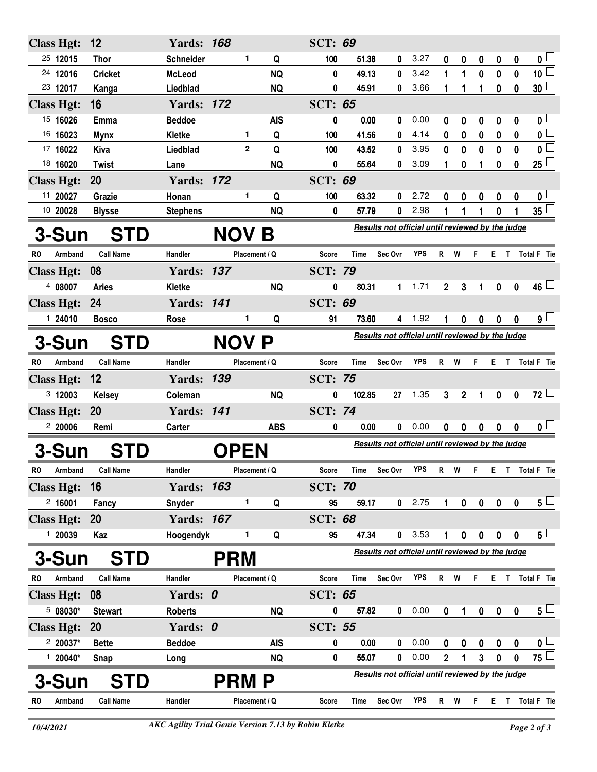| <b>Class Hgt:</b> |                                            | 12               | <b>Yards: 168</b> |     |               |                                                  | <b>SCT: 69</b> |                                                  |                                                  |                                                  |                |                  |                  |                  |                  |                         |  |
|-------------------|--------------------------------------------|------------------|-------------------|-----|---------------|--------------------------------------------------|----------------|--------------------------------------------------|--------------------------------------------------|--------------------------------------------------|----------------|------------------|------------------|------------------|------------------|-------------------------|--|
| 25 12015          |                                            | <b>Thor</b>      | Schneider         |     | 1             | Q                                                | 100            | 51.38                                            | 0                                                | 3.27                                             | 0              | 0                | 0                | 0                | 0                | 0 <sub>1</sub>          |  |
| 24 12016          |                                            | <b>Cricket</b>   | <b>McLeod</b>     |     |               | <b>NQ</b>                                        | 0              | 49.13                                            | 0                                                | 3.42                                             | 1              | 1                | 0                | $\pmb{0}$        | $\pmb{0}$        | 10 <sup>2</sup>         |  |
| 23 12017          |                                            | Kanga            | Liedblad          |     |               | <b>NQ</b>                                        | 0              | 45.91                                            | 0                                                | 3.66                                             | 1              | 1                | 1                | 0                | $\mathbf 0$      | $30\perp$               |  |
| <b>Class Hgt:</b> |                                            | 16               | <b>Yards: 172</b> |     |               |                                                  | <b>SCT: 65</b> |                                                  |                                                  |                                                  |                |                  |                  |                  |                  |                         |  |
| 15 16026          |                                            | Emma             | <b>Beddoe</b>     |     |               | <b>AIS</b>                                       | 0              | 0.00                                             | 0                                                | 0.00                                             | 0              | 0                | 0                | 0                | 0                | 0 <sub>1</sub>          |  |
| 16 16023          |                                            | <b>Mynx</b>      | Kletke            |     | 1             | Q                                                | 100            | 41.56                                            | 0                                                | 4.14                                             | 0              | 0                | 0                | 0                | 0                | $\overline{\mathbf{0}}$ |  |
| 17 16022          |                                            | Kiva             | Liedblad          |     | $\mathbf{2}$  | Q                                                | 100            | 43.52                                            | 0                                                | 3.95                                             | 0              | 0                | $\bf{0}$         | 0                | $\mathbf 0$      | 0 <sup>1</sup>          |  |
| 18 16020          |                                            | <b>Twist</b>     | Lane              |     |               | <b>NQ</b>                                        | 0              | 55.64                                            | 0                                                | 3.09                                             | 1              | 0                | 1                | 0                | 0                | $25\perp$               |  |
| <b>Class Hgt:</b> |                                            | 20               | <b>Yards: 172</b> |     |               |                                                  | <b>SCT: 69</b> |                                                  |                                                  |                                                  |                |                  |                  |                  |                  |                         |  |
| 11 20027          |                                            | Grazie           | Honan             |     | 1.            | Q                                                | 100            | 63.32                                            | 0                                                | 2.72                                             | 0              | 0                | 0                | 0                | 0                | 0 <sub>1</sub>          |  |
| 10 20028          |                                            | <b>Blysse</b>    | <b>Stephens</b>   |     |               | <b>NQ</b>                                        | 0              | 57.79                                            | 0                                                | 2.98                                             | 1              |                  |                  | 0                |                  | $35\lceil$              |  |
| <b>3-Sun</b>      |                                            | <b>STD</b>       |                   |     | NOV B         |                                                  |                |                                                  | Results not official until reviewed by the judge |                                                  |                |                  |                  |                  |                  |                         |  |
| RO                | Armband                                    | <b>Call Name</b> | Handler           |     | Placement / Q |                                                  | Score          | Time                                             | Sec Ovr                                          | YPS                                              | R W            |                  | F.               |                  |                  | E T Total F Tie         |  |
| <b>Class Hgt:</b> |                                            | 08               | <b>Yards: 137</b> |     |               |                                                  | <b>SCT: 79</b> |                                                  |                                                  |                                                  |                |                  |                  |                  |                  |                         |  |
| 4 08007           |                                            | <b>Aries</b>     | <b>Kletke</b>     |     |               | <b>NQ</b>                                        | 0              | 80.31                                            | 1                                                | 1.71                                             | $\overline{2}$ | 3                | 1                | 0                | $\mathbf 0$      | $46\perp$               |  |
| <b>Class Hgt:</b> |                                            | 24               | <b>Yards: 141</b> |     |               |                                                  | <b>SCT: 69</b> |                                                  |                                                  |                                                  |                |                  |                  |                  |                  |                         |  |
| 124010            |                                            | <b>Bosco</b>     | Rose              |     | 1.            | Q                                                | 91             | 73.60                                            | 4                                                | 1.92                                             | 1              | 0                | 0                | 0                | $\mathbf 0$      | $9\perp$                |  |
|                   | <b>NOV P</b><br><b>3-Sun</b><br><b>STD</b> |                  |                   |     |               | Results not official until reviewed by the judge |                |                                                  |                                                  |                                                  |                |                  |                  |                  |                  |                         |  |
| RO                | Armband                                    | <b>Call Name</b> | Handler           |     | Placement / Q |                                                  | Score          | Time                                             | Sec Ovr                                          | <b>YPS</b>                                       | R              | W                | F                | E                | T                | Total F Tie             |  |
| <b>Class Hgt:</b> |                                            | 12               | <b>Yards:</b>     | 139 |               |                                                  | <b>SCT: 75</b> |                                                  |                                                  |                                                  |                |                  |                  |                  |                  |                         |  |
| 3 12003           |                                            | <b>Kelsey</b>    | Coleman           |     |               | <b>NQ</b>                                        | 0              | 102.85                                           | 27                                               | 1.35                                             | 3              | $\boldsymbol{2}$ | 1                | $\boldsymbol{0}$ | $\mathbf 0$      | $72 \Box$               |  |
| <b>Class Hgt:</b> |                                            | <b>20</b>        | <b>Yards: 141</b> |     |               |                                                  | <b>SCT: 74</b> |                                                  |                                                  |                                                  |                |                  |                  |                  |                  |                         |  |
| 220006            |                                            | Remi             | Carter            |     |               | <b>ABS</b>                                       | 0              | 0.00                                             | 0                                                | 0.00                                             | $\mathbf{0}$   | 0                | 0                | 0                | $\mathbf 0$      | 0 <sub>1</sub>          |  |
| <b>3-Sun</b>      |                                            | STD              |                   |     | <b>OPEN</b>   |                                                  |                | Results not official until reviewed by the judge |                                                  |                                                  |                |                  |                  |                  |                  |                         |  |
| RO                | Armband                                    | Call Name        | Handler           |     | Placement / Q |                                                  | Score          | Time                                             | Sec Ovr                                          | YPS                                              | R              | W                | F.               |                  |                  | E T Total F Tie         |  |
| <b>Class Hgt:</b> |                                            | 16               | <b>Yards: 163</b> |     |               |                                                  | <b>SCT: 70</b> |                                                  |                                                  |                                                  |                |                  |                  |                  |                  |                         |  |
| 2,16001           |                                            | Fancy            | <b>Snyder</b>     |     | 1             | Q                                                | 95             | 59.17                                            | $\mathbf{0}$                                     | 2.75                                             | 1              | $\mathbf 0$      | $\mathbf 0$      | $\mathbf 0$      | $\mathbf 0$      | $5\perp$                |  |
| <b>Class Hgt:</b> |                                            | 20               | <b>Yards: 167</b> |     |               |                                                  | <b>SCT: 68</b> |                                                  |                                                  |                                                  |                |                  |                  |                  |                  |                         |  |
| 120039            |                                            | Kaz              | Hoogendyk         |     | 1             | Q                                                | 95             | 47.34                                            | 0                                                | 3.53                                             | 1              | 0                | $\mathbf 0$      | $\boldsymbol{0}$ | $\mathbf 0$      | $5\sqcup$               |  |
| 3-Sun             |                                            | <b>STD</b>       |                   |     | <b>PRM</b>    |                                                  |                |                                                  | Results not official until reviewed by the judge |                                                  |                |                  |                  |                  |                  |                         |  |
| RO                | Armband                                    | <b>Call Name</b> | Handler           |     | Placement / Q |                                                  | <b>Score</b>   | <b>Time</b>                                      | Sec Ovr                                          | <b>YPS</b>                                       | R W            |                  | F.               | Е.               | T                | Total F Tie             |  |
| <b>Class Hgt:</b> |                                            | 08               | Yards: 0          |     |               |                                                  | <b>SCT: 65</b> |                                                  |                                                  |                                                  |                |                  |                  |                  |                  |                         |  |
| $508030*$         |                                            | <b>Stewart</b>   | <b>Roberts</b>    |     |               | <b>NQ</b>                                        | 0              | 57.82                                            | 0                                                | 0.00                                             | $\mathbf 0$    | 1                | $\boldsymbol{0}$ | $\boldsymbol{0}$ | $\mathbf 0$      | $5\perp$                |  |
| <b>Class Hgt:</b> |                                            | <b>20</b>        | Yards: 0          |     |               |                                                  | <b>SCT: 55</b> |                                                  |                                                  |                                                  |                |                  |                  |                  |                  |                         |  |
| 2 20037*          |                                            | <b>Bette</b>     | <b>Beddoe</b>     |     |               | <b>AIS</b>                                       | 0              | 0.00                                             | 0                                                | 0.00                                             | 0              | 0                | 0                | $\pmb{0}$        | $\boldsymbol{0}$ | 0 <sub>1</sub>          |  |
| $120040*$         |                                            | Snap             | Long              |     |               | <b>NQ</b>                                        | 0              | 55.07                                            | 0                                                | 0.00                                             | $\overline{2}$ | 1                | $\mathbf{3}$     | $\boldsymbol{0}$ | $\mathbf{0}$     | $75\Box$                |  |
| 3-Sun             |                                            | <b>STD</b>       |                   |     | <b>PRM</b>    | P                                                |                |                                                  |                                                  | Results not official until reviewed by the judge |                |                  |                  |                  |                  |                         |  |
| <b>RO</b>         | Armband                                    | <b>Call Name</b> | Handler           |     | Placement / Q |                                                  | Score          | Time                                             | Sec Ovr                                          | <b>YPS</b>                                       | R              | W                | F                | Е                | T                | Total F Tie             |  |
|                   |                                            |                  |                   |     |               |                                                  |                |                                                  |                                                  |                                                  |                |                  |                  |                  |                  |                         |  |